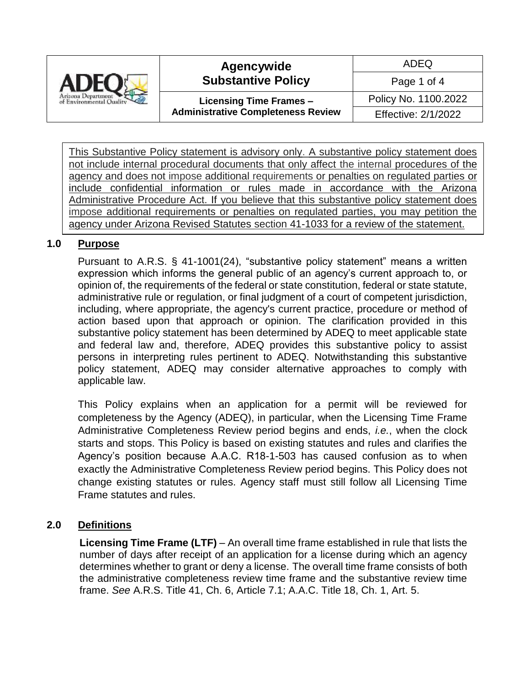

#### **Agencywide Substantive Policy**

**Licensing Time Frames – Administrative Completeness Review**

Page 1 of 4 Policy No. 1100.2022 Effective: 2/1/2022

ADEQ

This Substantive Policy statement is advisory only. A substantive policy statement does not include internal procedural documents that only affect the internal procedures of the agency and does not impose additional requirements or penalties on regulated parties or include confidential information or rules made in accordance with the Arizona Administrative Procedure Act. If you believe that this substantive policy statement does impose additional requirements or penalties on regulated parties, you may petition the agency under Arizona Revised Statutes section 41-1033 for a review of the statement.

#### **1.0 Purpose**

Pursuant to A.R.S. § 41-1001(24), "substantive policy statement" means a written expression which informs the general public of an agency's current approach to, or opinion of, the requirements of the federal or state constitution, federal or state statute, administrative rule or regulation, or final judgment of a court of competent jurisdiction, including, where appropriate, the agency's current practice, procedure or method of action based upon that approach or opinion. The clarification provided in this substantive policy statement has been determined by ADEQ to meet applicable state and federal law and, therefore, ADEQ provides this substantive policy to assist persons in interpreting rules pertinent to ADEQ. Notwithstanding this substantive policy statement, ADEQ may consider alternative approaches to comply with applicable law.

This Policy explains when an application for a permit will be reviewed for completeness by the Agency (ADEQ), in particular, when the Licensing Time Frame Administrative Completeness Review period begins and ends, *i.e.*, when the clock starts and stops. This Policy is based on existing statutes and rules and clarifies the Agency's position because A.A.C. R18-1-503 has caused confusion as to when exactly the Administrative Completeness Review period begins. This Policy does not change existing statutes or rules. Agency staff must still follow all Licensing Time Frame statutes and rules.

#### **2.0 Definitions**

**Licensing Time Frame (LTF)** – An overall time frame established in rule that lists the number of days after receipt of an application for a license during which an agency determines whether to grant or deny a license. The overall time frame consists of both the administrative completeness review time frame and the substantive review time frame. *See* A.R.S. Title 41, Ch. 6, Article 7.1; A.A.C. Title 18, Ch. 1, Art. 5.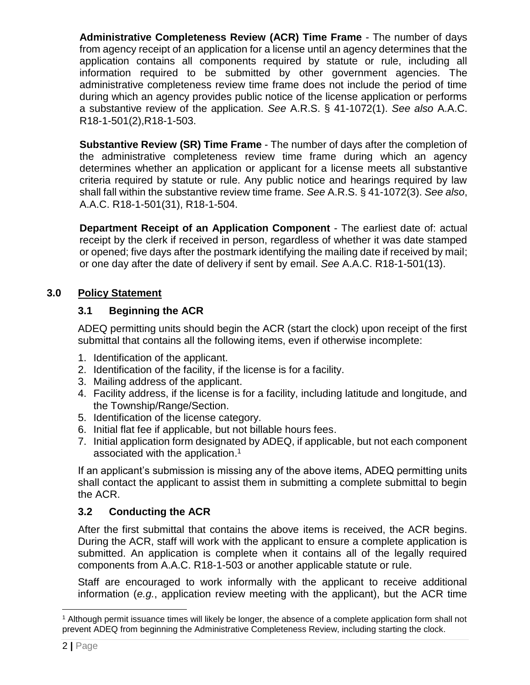**Administrative Completeness Review (ACR) Time Frame** - The number of days from agency receipt of an application for a license until an agency determines that the application contains all components required by statute or rule, including all information required to be submitted by other government agencies. The administrative completeness review time frame does not include the period of time during which an agency provides public notice of the license application or performs a substantive review of the application. *See* A.R.S. § 41-1072(1). *See also* A.A.C. R18-1-501(2),R18-1-503.

**Substantive Review (SR) Time Frame** - The number of days after the completion of the administrative completeness review time frame during which an agency determines whether an application or applicant for a license meets all substantive criteria required by statute or rule. Any public notice and hearings required by law shall fall within the substantive review time frame. *See* A.R.S. § 41-1072(3). *See also*, A.A.C. R18-1-501(31), R18-1-504.

**Department Receipt of an Application Component** - The earliest date of: actual receipt by the clerk if received in person, regardless of whether it was date stamped or opened; five days after the postmark identifying the mailing date if received by mail; or one day after the date of delivery if sent by email. *See* A.A.C. R18-1-501(13).

### **3.0 Policy Statement**

### **3.1 Beginning the ACR**

ADEQ permitting units should begin the ACR (start the clock) upon receipt of the first submittal that contains all the following items, even if otherwise incomplete:

- 1. Identification of the applicant.
- 2. Identification of the facility, if the license is for a facility.
- 3. Mailing address of the applicant.
- 4. Facility address, if the license is for a facility, including latitude and longitude, and the Township/Range/Section.
- 5. Identification of the license category.
- 6. Initial flat fee if applicable, but not billable hours fees.
- 7. Initial application form designated by ADEQ, if applicable, but not each component associated with the application.<sup>1</sup>

If an applicant's submission is missing any of the above items, ADEQ permitting units shall contact the applicant to assist them in submitting a complete submittal to begin the ACR.

# **3.2 Conducting the ACR**

After the first submittal that contains the above items is received, the ACR begins. During the ACR, staff will work with the applicant to ensure a complete application is submitted. An application is complete when it contains all of the legally required components from A.A.C. R18-1-503 or another applicable statute or rule.

Staff are encouraged to work informally with the applicant to receive additional information (*e.g.*, application review meeting with the applicant), but the ACR time

l <sup>1</sup> Although permit issuance times will likely be longer, the absence of a complete application form shall not prevent ADEQ from beginning the Administrative Completeness Review, including starting the clock.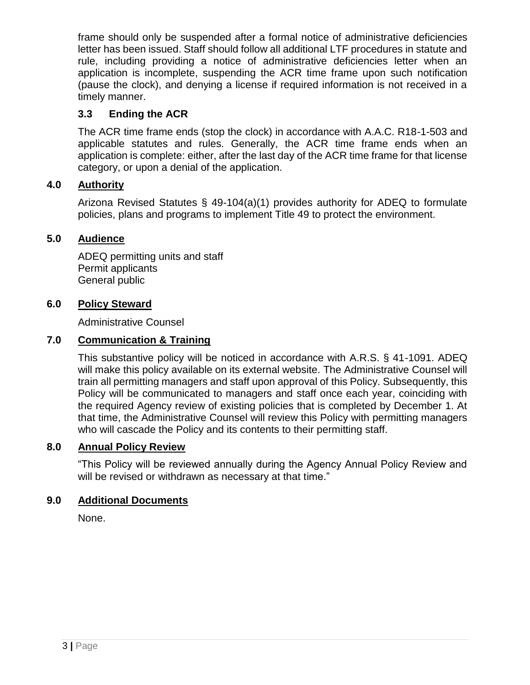frame should only be suspended after a formal notice of administrative deficiencies letter has been issued. Staff should follow all additional LTF procedures in statute and rule, including providing a notice of administrative deficiencies letter when an application is incomplete, suspending the ACR time frame upon such notification (pause the clock), and denying a license if required information is not received in a timely manner.

#### **3.3 Ending the ACR**

The ACR time frame ends (stop the clock) in accordance with A.A.C. R18-1-503 and applicable statutes and rules. Generally, the ACR time frame ends when an application is complete: either, after the last day of the ACR time frame for that license category, or upon a denial of the application.

#### **4.0 Authority**

Arizona Revised Statutes § 49-104(a)(1) provides authority for ADEQ to formulate policies, plans and programs to implement Title 49 to protect the environment.

#### **5.0 Audience**

ADEQ permitting units and staff Permit applicants General public

#### **6.0 Policy Steward**

Administrative Counsel

#### **7.0 Communication & Training**

This substantive policy will be noticed in accordance with A.R.S. § 41-1091. ADEQ will make this policy available on its external website. The Administrative Counsel will train all permitting managers and staff upon approval of this Policy. Subsequently, this Policy will be communicated to managers and staff once each year, coinciding with the required Agency review of existing policies that is completed by December 1. At that time, the Administrative Counsel will review this Policy with permitting managers who will cascade the Policy and its contents to their permitting staff.

#### **8.0 Annual Policy Review**

"This Policy will be reviewed annually during the Agency Annual Policy Review and will be revised or withdrawn as necessary at that time."

#### **9.0 Additional Documents**

None.